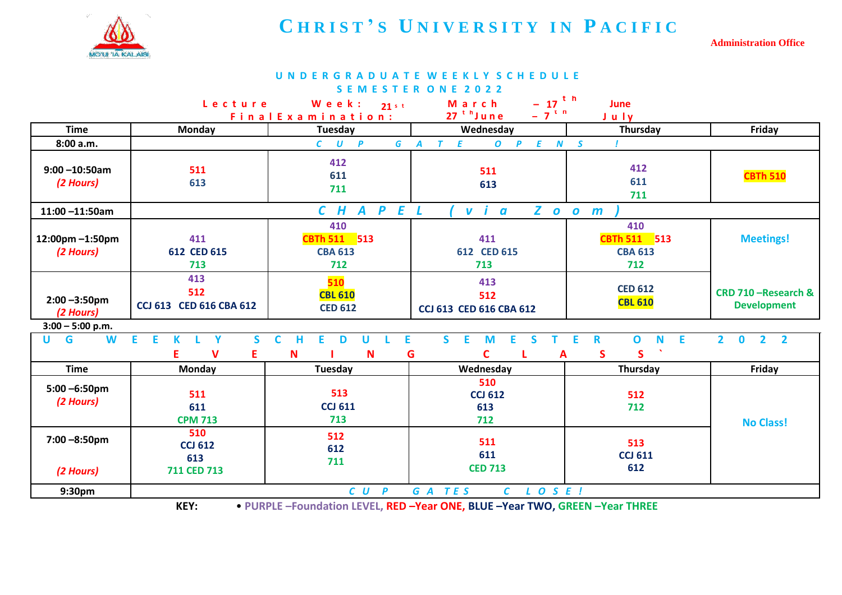

## **C H R I S T ' S U N I V E R S I T Y I N P A C I F I C**

**Administration Office**

| UNDERGRADUATE WEEKLY SCHEDULE  |                                                                                                                                                                           |                                                                        |                                                                        |                                              |                                              |  |  |  |  |
|--------------------------------|---------------------------------------------------------------------------------------------------------------------------------------------------------------------------|------------------------------------------------------------------------|------------------------------------------------------------------------|----------------------------------------------|----------------------------------------------|--|--|--|--|
| <b>SEMESTER ONE</b><br>2022    |                                                                                                                                                                           |                                                                        |                                                                        |                                              |                                              |  |  |  |  |
|                                | Lecture                                                                                                                                                                   | Week:<br>$21$ s t                                                      | $-17$ <sup>th</sup><br>March                                           | June                                         |                                              |  |  |  |  |
|                                |                                                                                                                                                                           | Final Examination:                                                     | $-7$ <sup>t n</sup><br>$27th$ June                                     | July                                         |                                              |  |  |  |  |
| <b>Time</b>                    | Monday                                                                                                                                                                    | <b>Tuesday</b>                                                         | Wednesday                                                              | Thursday                                     | Friday                                       |  |  |  |  |
| 8:00 a.m.                      | $\mathbf{P}$<br>$\overline{G}$<br>E<br>E<br>$\mathcal{C}$<br>$\tau$<br>$\boldsymbol{o}$<br>$\boldsymbol{N}$<br>$\mathcal{S}$<br>$\boldsymbol{U}$<br>$\boldsymbol{A}$<br>P |                                                                        |                                                                        |                                              |                                              |  |  |  |  |
| $9:00 - 10:50$ am<br>(2 Hours) | 511<br>613                                                                                                                                                                | 412<br>611<br>711                                                      | 511<br>613                                                             | 412<br>611<br>711                            | <b>CBTh 510</b>                              |  |  |  |  |
| $11:00 - 11:50$ am             |                                                                                                                                                                           | $\mathbf{E}$<br>H<br>$\mathbf{P}$<br>$\mathcal{C}$<br>$\boldsymbol{A}$ | $\mathsf{Z}^-$<br>$\mathsf{v}$ i<br>$\overline{a}$<br>$\boldsymbol{o}$ | $\mathbf{o}$<br>$\mathbf{m}$                 |                                              |  |  |  |  |
| 12:00pm-1:50pm<br>(2 Hours)    | 411<br>612 CED 615<br>713                                                                                                                                                 | 410<br>CBTh 511 513<br><b>CBA 613</b><br>712                           | 411<br>612 CED 615<br>713                                              | 410<br>CBTh 511 513<br><b>CBA 613</b><br>712 | <b>Meetings!</b>                             |  |  |  |  |
| $2:00 - 3:50$ pm<br>(2 Hours)  | 413<br>512<br>CCJ 613 CED 616 CBA 612                                                                                                                                     | 510<br><b>CBL 610</b><br><b>CED 612</b>                                | 413<br>512<br>CCJ 613 CED 616 CBA 612                                  | <b>CED 612</b><br><b>CBL 610</b>             | CRD 710 - Research &<br><b>Development</b>   |  |  |  |  |
| $3:00 - 5:00$ p.m.             |                                                                                                                                                                           |                                                                        |                                                                        |                                              |                                              |  |  |  |  |
| G<br>U<br>W                    | E<br>E<br>S.<br>Y<br>K<br>v<br>E.<br>Е                                                                                                                                    | $\mathsf{C}$<br>E<br>н<br>E<br>U<br>D<br>G<br>N<br>N                   | $\mathsf{S}$<br>E<br>E.<br>M<br>S<br>т<br>C<br>A                       | E<br>$\mathbf 0$<br>N<br>Е<br>R<br>S<br>S    | 2 <sub>2</sub><br>$\overline{2}$<br>$\bf{0}$ |  |  |  |  |
| <b>Time</b>                    | Monday                                                                                                                                                                    | <b>Tuesday</b>                                                         | Wednesday                                                              | Thursday                                     | Friday                                       |  |  |  |  |
| $5:00 - 6:50$ pm<br>(2 Hours)  | 511<br>611<br><b>CPM 713</b>                                                                                                                                              | 513<br><b>CCJ 611</b><br>713                                           | 510<br><b>CCJ 612</b><br>613<br>712                                    | 512<br>712                                   | <b>No Class!</b>                             |  |  |  |  |
| $7:00 - 8:50$ pm<br>(2 Hours)  | 510<br><b>CCJ 612</b><br>613<br>711 CED 713                                                                                                                               | 512<br>612<br>711                                                      | 511<br>611<br><b>CED 713</b>                                           | 513<br><b>CCJ 611</b><br>612                 |                                              |  |  |  |  |
| 9:30pm                         | G A TES<br>$C$ $L$ $O$ $S$ $E$ $I$<br>$CU$ $P$                                                                                                                            |                                                                        |                                                                        |                                              |                                              |  |  |  |  |

**KEY:** • **PURPLE –Foundation LEVEL, RED –Year ONE, BLUE –Year TWO, GREEN –Year THREE**